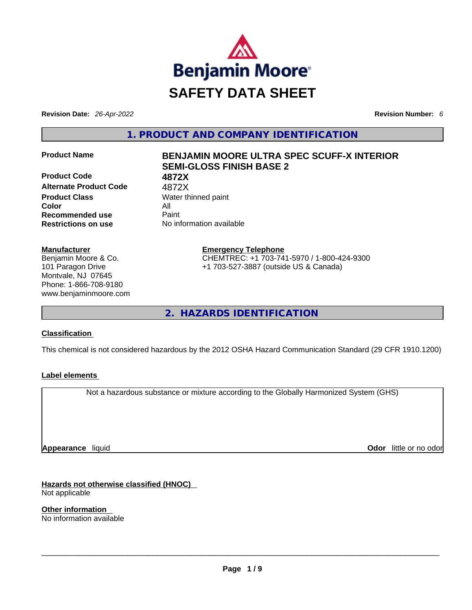

**Revision Date:** *26-Apr-2022* **Revision Number:** *6*

**1. PRODUCT AND COMPANY IDENTIFICATION** 

**Product Code 4872X Alternate Product Code** 4872X **Product Class Water thinned paint Color** All **Recommended use Paint Restrictions on use** No information available

# **Manufacturer**

Benjamin Moore & Co. 101 Paragon Drive Montvale, NJ 07645 Phone: 1-866-708-9180 www.benjaminmoore.com

# **Product Name BENJAMIN MOORE ULTRA SPEC SCUFF-X INTERIOR SEMI-GLOSS FINISH BASE 2**

**Emergency Telephone** CHEMTREC: +1 703-741-5970 / 1-800-424-9300 +1 703-527-3887 (outside US & Canada)

**2. HAZARDS IDENTIFICATION** 

# **Classification**

This chemical is not considered hazardous by the 2012 OSHA Hazard Communication Standard (29 CFR 1910.1200)

# **Label elements**

Not a hazardous substance or mixture according to the Globally Harmonized System (GHS)

**Appearance** liquid

**Odor** little or no odor

**Hazards not otherwise classified (HNOC)**  Not applicable

**Other information**  No information available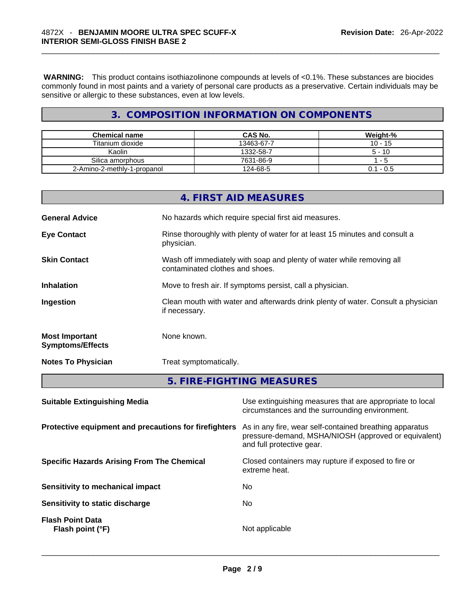**WARNING:** This product contains isothiazolinone compounds at levels of <0.1%. These substances are biocides commonly found in most paints and a variety of personal care products as a preservative. Certain individuals may be sensitive or allergic to these substances, even at low levels.

# **3. COMPOSITION INFORMATION ON COMPONENTS**

| <b>Chemical name</b>        | CAS No.    | Weight-%    |
|-----------------------------|------------|-------------|
| Titanium dioxide            | 13463-67-7 | $10 - 15$   |
| Kaolin                      | 1332-58-7  | $5 - 10$    |
| Silica amorphous            | 7631-86-9  | - 5         |
| 2-Amino-2-methly-1-propanol | 124-68-5   | $0.1 - 0.5$ |

|                                                  | 4. FIRST AID MEASURES                                                                                    |
|--------------------------------------------------|----------------------------------------------------------------------------------------------------------|
| <b>General Advice</b>                            | No hazards which require special first aid measures.                                                     |
| <b>Eye Contact</b>                               | Rinse thoroughly with plenty of water for at least 15 minutes and consult a<br>physician.                |
| <b>Skin Contact</b>                              | Wash off immediately with soap and plenty of water while removing all<br>contaminated clothes and shoes. |
| <b>Inhalation</b>                                | Move to fresh air. If symptoms persist, call a physician.                                                |
| Ingestion                                        | Clean mouth with water and afterwards drink plenty of water. Consult a physician<br>if necessary.        |
| <b>Most Important</b><br><b>Symptoms/Effects</b> | None known.                                                                                              |
| <b>Notes To Physician</b>                        | Treat symptomatically.                                                                                   |
|                                                  | 5. FIRE-FIGHTING MEASURES                                                                                |

| <b>Suitable Extinguishing Media</b>                   | Use extinguishing measures that are appropriate to local<br>circumstances and the surrounding environment.                                   |
|-------------------------------------------------------|----------------------------------------------------------------------------------------------------------------------------------------------|
| Protective equipment and precautions for firefighters | As in any fire, wear self-contained breathing apparatus<br>pressure-demand, MSHA/NIOSH (approved or equivalent)<br>and full protective gear. |
| <b>Specific Hazards Arising From The Chemical</b>     | Closed containers may rupture if exposed to fire or<br>extreme heat.                                                                         |
| <b>Sensitivity to mechanical impact</b>               | No                                                                                                                                           |
| Sensitivity to static discharge                       | No                                                                                                                                           |
| <b>Flash Point Data</b><br>Flash point (°F)           | Not applicable                                                                                                                               |
|                                                       |                                                                                                                                              |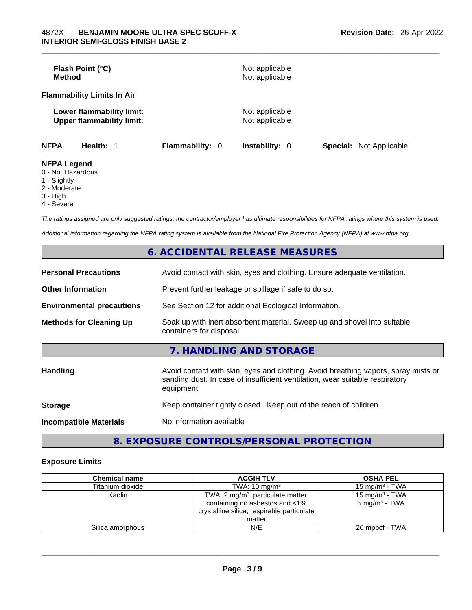| Flash Point (°C)<br>Method                                    |                        | Not applicable<br>Not applicable |                                |
|---------------------------------------------------------------|------------------------|----------------------------------|--------------------------------|
| <b>Flammability Limits In Air</b>                             |                        |                                  |                                |
| Lower flammability limit:<br><b>Upper flammability limit:</b> |                        | Not applicable<br>Not applicable |                                |
| <b>NFPA</b><br>Health: 1                                      | <b>Flammability: 0</b> | Instability: 0                   | <b>Special:</b> Not Applicable |
| <b>NFPA Legend</b><br>0 - Not Hazardous                       |                        |                                  |                                |

- 1 Slightly
- 2 Moderate
- 3 High
- 4 Severe

*The ratings assigned are only suggested ratings, the contractor/employer has ultimate responsibilities for NFPA ratings where this system is used.* 

*Additional information regarding the NFPA rating system is available from the National Fire Protection Agency (NFPA) at www.nfpa.org.* 

|                                  | <b>6. ACCIDENTAL RELEASE MEASURES</b>                                                                                                                                            |
|----------------------------------|----------------------------------------------------------------------------------------------------------------------------------------------------------------------------------|
| <b>Personal Precautions</b>      | Avoid contact with skin, eyes and clothing. Ensure adequate ventilation.                                                                                                         |
| <b>Other Information</b>         | Prevent further leakage or spillage if safe to do so.                                                                                                                            |
| <b>Environmental precautions</b> | See Section 12 for additional Ecological Information.                                                                                                                            |
| <b>Methods for Cleaning Up</b>   | Soak up with inert absorbent material. Sweep up and shovel into suitable<br>containers for disposal.                                                                             |
|                                  | 7. HANDLING AND STORAGE                                                                                                                                                          |
| <b>Handling</b>                  | Avoid contact with skin, eyes and clothing. Avoid breathing vapors, spray mists or<br>sanding dust. In case of insufficient ventilation, wear suitable respiratory<br>equipment. |
| <b>Storage</b>                   | Keep container tightly closed. Keep out of the reach of children.                                                                                                                |
| <b>Incompatible Materials</b>    | No information available                                                                                                                                                         |
|                                  |                                                                                                                                                                                  |

# **8. EXPOSURE CONTROLS/PERSONAL PROTECTION**

# **Exposure Limits**

| <b>Chemical name</b> | <b>ACGIH TLV</b>                                                                                                                     | <b>OSHA PEL</b>                                        |
|----------------------|--------------------------------------------------------------------------------------------------------------------------------------|--------------------------------------------------------|
| Titanium dioxide     | TWA: $10 \text{ mg/m}^3$                                                                                                             | 15 mg/m $3$ - TWA                                      |
| Kaolin               | TWA: $2 \text{ mg/m}^3$ particulate matter<br>containing no asbestos and <1%<br>crystalline silica, respirable particulate<br>matter | 15 mg/m <sup>3</sup> - TWA<br>$5 \text{ mg/m}^3$ - TWA |
| Silica amorphous     | N/E                                                                                                                                  | 20 mppcf - TWA                                         |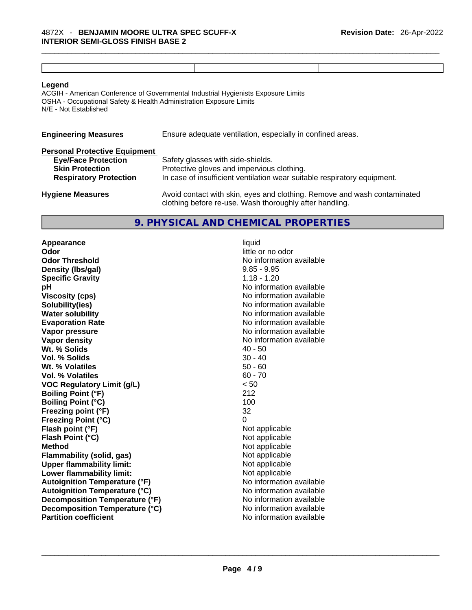| Legend |  |  |
|--------|--|--|
|        |  |  |

ACGIH - American Conference of Governmental Industrial Hygienists Exposure Limits OSHA - Occupational Safety & Health Administration Exposure Limits N/E - Not Established

| <b>Engineering Measures</b><br>Ensure adequate ventilation, especially in confined areas. |                                                                                                                                     |  |
|-------------------------------------------------------------------------------------------|-------------------------------------------------------------------------------------------------------------------------------------|--|
| <b>Personal Protective Equipment</b>                                                      |                                                                                                                                     |  |
| <b>Eye/Face Protection</b>                                                                | Safety glasses with side-shields.                                                                                                   |  |
| <b>Skin Protection</b>                                                                    | Protective gloves and impervious clothing.                                                                                          |  |
| <b>Respiratory Protection</b>                                                             | In case of insufficient ventilation wear suitable respiratory equipment.                                                            |  |
| <b>Hygiene Measures</b>                                                                   | Avoid contact with skin, eyes and clothing. Remove and wash contaminated<br>clothing before re-use. Wash thoroughly after handling. |  |

# **9. PHYSICAL AND CHEMICAL PROPERTIES**

**Appearance liquid**<br> **Odor** little c **Odor Threshold No information available No information available Density (lbs/gal)** 9.85 - 9.95 **Specific Gravity** 1.18 - 1.20 **pH** No information available **Viscosity (cps) Viscosity (cps) No information available Solubility(ies)** No information available **Water solubility Water solubility No information available Evaporation Rate No information available No information available Vapor pressure**  No information available **Vapor pressure No information available Vapor density**<br> **We Solids**<br>
We Solids
2019<br>
We Solid Solid Solid Structure 2019<br>
2019<br>
2019<br>
2019<br>
2019<br>
2019<br>
2019<br>
2019<br>
2019<br>
2019<br>
2019<br>
2019 **Wt. % Solids** 40 - 50 **Vol. % Solids Wt. % Volatiles** 50 - 60 **Vol. % Volatiles** 60 - 70 **VOC Regulatory Limit (g/L)**  $\leq 50$ <br> **Boiling Point (°F)** 212 **Boiling Point (°F) Boiling Point (°C)** 100 **Freezing point (°F)** 32 **Freezing Point (°C)** 0 **Flash point (°F)** Not applicable **Flash Point (°C)** Not applicable **Method** Not applicable<br> **Elammability (solid. gas)** Not applicable Not applicable **Flammability** (solid, gas) **Upper flammability limit:** Not applicable **Lower flammability limit:** Not applicable **Autoignition Temperature (°F)** No information available **Autoignition Temperature (°C)** No information available **Decomposition Temperature (°F)** No information available **Decomposition Temperature (°C)** No information available<br> **Partition coefficient Partition available Partition coefficient**No information available \_\_\_\_\_\_\_\_\_\_\_\_\_\_\_\_\_\_\_\_\_\_\_\_\_\_\_\_\_\_\_\_\_\_\_\_\_\_\_\_\_\_\_\_\_\_\_\_\_\_\_\_\_\_\_\_\_\_\_\_\_\_\_\_\_\_\_\_\_\_\_\_\_\_\_\_\_\_\_\_\_\_\_\_\_\_\_\_\_\_\_\_\_

**Odor** little or no odor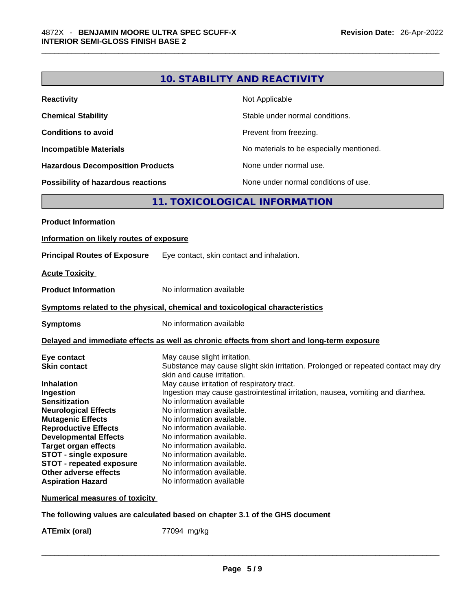| <b>Reactivity</b>                       | Not Applicable                           |
|-----------------------------------------|------------------------------------------|
| <b>Chemical Stability</b>               | Stable under normal conditions.          |
| <b>Conditions to avoid</b>              | Prevent from freezing.                   |
| <b>Incompatible Materials</b>           | No materials to be especially mentioned. |
| <b>Hazardous Decomposition Products</b> | None under normal use.                   |
| Possibility of hazardous reactions      | None under normal conditions of use.     |

# **11. TOXICOLOGICAL INFORMATION**

| Information on likely routes of exposure<br><b>Principal Routes of Exposure</b><br>Eye contact, skin contact and inhalation.<br>No information available<br>Symptoms related to the physical, chemical and toxicological characteristics<br>No information available<br><b>Symptoms</b><br>Delayed and immediate effects as well as chronic effects from short and long-term exposure<br>May cause slight irritation.<br>Eye contact<br>Substance may cause slight skin irritation. Prolonged or repeated contact may dry<br><b>Skin contact</b><br>skin and cause irritation.<br>May cause irritation of respiratory tract.<br>Ingestion may cause gastrointestinal irritation, nausea, vomiting and diarrhea.<br>Ingestion<br><b>Sensitization</b><br>No information available<br>No information available.<br><b>Neurological Effects</b><br><b>Mutagenic Effects</b><br>No information available.<br><b>Reproductive Effects</b><br>No information available.<br><b>Developmental Effects</b><br>No information available.<br><b>Target organ effects</b><br>No information available.<br>No information available.<br><b>STOT - single exposure</b><br><b>STOT - repeated exposure</b><br>No information available.<br>Other adverse effects<br>No information available.<br>No information available<br><b>Aspiration Hazard</b> | <b>Product Information</b> |  |
|----------------------------------------------------------------------------------------------------------------------------------------------------------------------------------------------------------------------------------------------------------------------------------------------------------------------------------------------------------------------------------------------------------------------------------------------------------------------------------------------------------------------------------------------------------------------------------------------------------------------------------------------------------------------------------------------------------------------------------------------------------------------------------------------------------------------------------------------------------------------------------------------------------------------------------------------------------------------------------------------------------------------------------------------------------------------------------------------------------------------------------------------------------------------------------------------------------------------------------------------------------------------------------------------------------------------------------------|----------------------------|--|
|                                                                                                                                                                                                                                                                                                                                                                                                                                                                                                                                                                                                                                                                                                                                                                                                                                                                                                                                                                                                                                                                                                                                                                                                                                                                                                                                        |                            |  |
|                                                                                                                                                                                                                                                                                                                                                                                                                                                                                                                                                                                                                                                                                                                                                                                                                                                                                                                                                                                                                                                                                                                                                                                                                                                                                                                                        |                            |  |
|                                                                                                                                                                                                                                                                                                                                                                                                                                                                                                                                                                                                                                                                                                                                                                                                                                                                                                                                                                                                                                                                                                                                                                                                                                                                                                                                        | <b>Acute Toxicity</b>      |  |
|                                                                                                                                                                                                                                                                                                                                                                                                                                                                                                                                                                                                                                                                                                                                                                                                                                                                                                                                                                                                                                                                                                                                                                                                                                                                                                                                        | <b>Product Information</b> |  |
|                                                                                                                                                                                                                                                                                                                                                                                                                                                                                                                                                                                                                                                                                                                                                                                                                                                                                                                                                                                                                                                                                                                                                                                                                                                                                                                                        |                            |  |
|                                                                                                                                                                                                                                                                                                                                                                                                                                                                                                                                                                                                                                                                                                                                                                                                                                                                                                                                                                                                                                                                                                                                                                                                                                                                                                                                        |                            |  |
|                                                                                                                                                                                                                                                                                                                                                                                                                                                                                                                                                                                                                                                                                                                                                                                                                                                                                                                                                                                                                                                                                                                                                                                                                                                                                                                                        |                            |  |
|                                                                                                                                                                                                                                                                                                                                                                                                                                                                                                                                                                                                                                                                                                                                                                                                                                                                                                                                                                                                                                                                                                                                                                                                                                                                                                                                        | <b>Inhalation</b>          |  |
|                                                                                                                                                                                                                                                                                                                                                                                                                                                                                                                                                                                                                                                                                                                                                                                                                                                                                                                                                                                                                                                                                                                                                                                                                                                                                                                                        |                            |  |

**Numerical measures of toxicity**

**The following values are calculated based on chapter 3.1 of the GHS document**

**ATEmix (oral)** 77094 mg/kg \_\_\_\_\_\_\_\_\_\_\_\_\_\_\_\_\_\_\_\_\_\_\_\_\_\_\_\_\_\_\_\_\_\_\_\_\_\_\_\_\_\_\_\_\_\_\_\_\_\_\_\_\_\_\_\_\_\_\_\_\_\_\_\_\_\_\_\_\_\_\_\_\_\_\_\_\_\_\_\_\_\_\_\_\_\_\_\_\_\_\_\_\_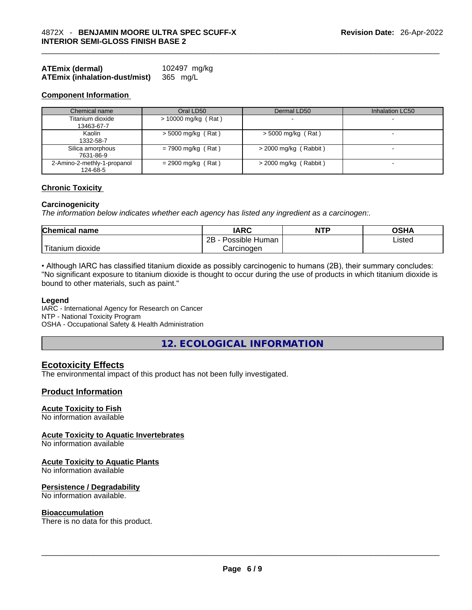| ATEmix (dermal)                      | 102497 mg/kg |
|--------------------------------------|--------------|
| <b>ATEmix (inhalation-dust/mist)</b> | 365 mg/L     |

### **Component Information**

| Chemical name                           | Oral LD50             | Dermal LD50             | Inhalation LC50          |
|-----------------------------------------|-----------------------|-------------------------|--------------------------|
| Titanium dioxide                        | $> 10000$ mg/kg (Rat) |                         |                          |
| 13463-67-7                              |                       |                         |                          |
| Kaolin<br>1332-58-7                     | $>$ 5000 mg/kg (Rat)  | $>$ 5000 mg/kg (Rat)    | $\overline{\phantom{0}}$ |
| Silica amorphous<br>7631-86-9           | $= 7900$ mg/kg (Rat)  | $>$ 2000 mg/kg (Rabbit) | $\overline{\phantom{0}}$ |
| 2-Amino-2-methly-1-propanol<br>124-68-5 | $= 2900$ mg/kg (Rat)  | $>$ 2000 mg/kg (Rabbit) |                          |

# **Chronic Toxicity**

#### **Carcinogenicity**

*The information below indicates whether each agency has listed any ingredient as a carcinogen:.* 

| <b>Chemical name</b> | <b>IARC</b>               | <b>NTP</b> | OSHA   |
|----------------------|---------------------------|------------|--------|
|                      | 2B<br>Possible<br>: Human |            | ∟isted |
| dioxide<br>Titanium  | Carcınoɑen                |            |        |

• Although IARC has classified titanium dioxide as possibly carcinogenic to humans (2B), their summary concludes: "No significant exposure to titanium dioxide is thought to occur during the use of products in which titanium dioxide is bound to other materials, such as paint."

### **Legend**

IARC - International Agency for Research on Cancer NTP - National Toxicity Program OSHA - Occupational Safety & Health Administration

**12. ECOLOGICAL INFORMATION** 

# **Ecotoxicity Effects**

The environmental impact of this product has not been fully investigated.

# **Product Information**

## **Acute Toxicity to Fish**

No information available

#### **Acute Toxicity to Aquatic Invertebrates**

No information available

## **Acute Toxicity to Aquatic Plants**

No information available

#### **Persistence / Degradability**

No information available.

**Bioaccumulation**<br>There is no data for this product. There is no data for this product. \_\_\_\_\_\_\_\_\_\_\_\_\_\_\_\_\_\_\_\_\_\_\_\_\_\_\_\_\_\_\_\_\_\_\_\_\_\_\_\_\_\_\_\_\_\_\_\_\_\_\_\_\_\_\_\_\_\_\_\_\_\_\_\_\_\_\_\_\_\_\_\_\_\_\_\_\_\_\_\_\_\_\_\_\_\_\_\_\_\_\_\_\_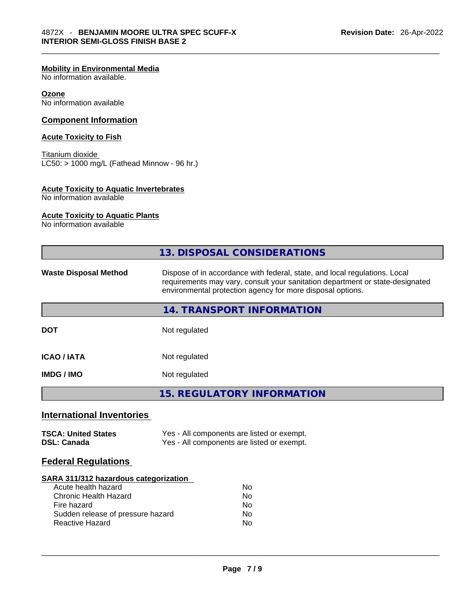# **Mobility in Environmental Media**

No information available.

# **Ozone**

No information available

# **Component Information**

# **Acute Toxicity to Fish**

Titanium dioxide  $LC50:$  > 1000 mg/L (Fathead Minnow - 96 hr.)

# **Acute Toxicity to Aquatic Invertebrates**

No information available

# **Acute Toxicity to Aquatic Plants**

No information available

|                                                                                                                                                                                   | <b>13. DISPOSAL CONSIDERATIONS</b>                                                                                                                                                                                        |  |
|-----------------------------------------------------------------------------------------------------------------------------------------------------------------------------------|---------------------------------------------------------------------------------------------------------------------------------------------------------------------------------------------------------------------------|--|
| <b>Waste Disposal Method</b>                                                                                                                                                      | Dispose of in accordance with federal, state, and local regulations. Local<br>requirements may vary, consult your sanitation department or state-designated<br>environmental protection agency for more disposal options. |  |
|                                                                                                                                                                                   | 14. TRANSPORT INFORMATION                                                                                                                                                                                                 |  |
| <b>DOT</b>                                                                                                                                                                        | Not regulated                                                                                                                                                                                                             |  |
| <b>ICAO/IATA</b>                                                                                                                                                                  | Not regulated                                                                                                                                                                                                             |  |
| <b>IMDG/IMO</b>                                                                                                                                                                   | Not regulated                                                                                                                                                                                                             |  |
|                                                                                                                                                                                   | <b>15. REGULATORY INFORMATION</b>                                                                                                                                                                                         |  |
| <b>International Inventories</b>                                                                                                                                                  |                                                                                                                                                                                                                           |  |
| <b>TSCA: United States</b><br><b>DSL: Canada</b>                                                                                                                                  | Yes - All components are listed or exempt.<br>Yes - All components are listed or exempt.                                                                                                                                  |  |
| <b>Federal Regulations</b>                                                                                                                                                        |                                                                                                                                                                                                                           |  |
| <b>SARA 311/312 hazardous categorization</b><br>Acute health hazard<br><b>Chronic Health Hazard</b><br>Fire hazard<br>Sudden release of pressure hazard<br><b>Reactive Hazard</b> | <b>No</b><br><b>No</b><br><b>No</b><br>No<br>No                                                                                                                                                                           |  |
|                                                                                                                                                                                   |                                                                                                                                                                                                                           |  |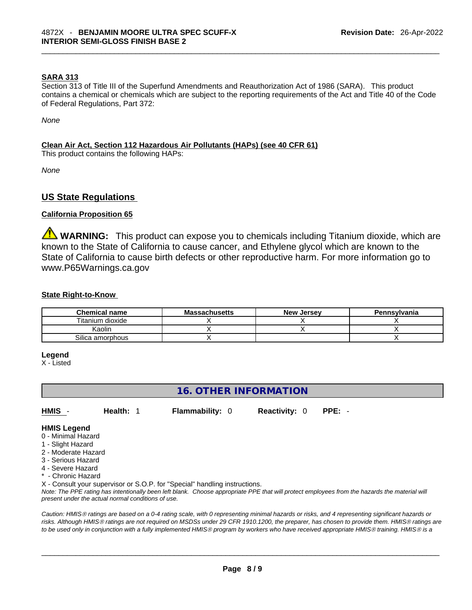# **SARA 313**

Section 313 of Title III of the Superfund Amendments and Reauthorization Act of 1986 (SARA). This product contains a chemical or chemicals which are subject to the reporting requirements of the Act and Title 40 of the Code of Federal Regulations, Part 372:

*None*

# **Clean Air Act,Section 112 Hazardous Air Pollutants (HAPs) (see 40 CFR 61)**

This product contains the following HAPs:

*None*

# **US State Regulations**

# **California Proposition 65**

**WARNING:** This product can expose you to chemicals including Titanium dioxide, which are known to the State of California to cause cancer, and Ethylene glycol which are known to the State of California to cause birth defects or other reproductive harm. For more information go to www.P65Warnings.ca.gov

# **State Right-to-Know**

| <b>Chemical name</b> | <b>Massachusetts</b> | <b>New Jersey</b> | Pennsylvania |
|----------------------|----------------------|-------------------|--------------|
| Titanium dioxide     |                      |                   |              |
| Kaolin               |                      |                   |              |
| Silica amorphous     |                      |                   |              |

#### **Legend**

X - Listed

# **16. OTHER INFORMATION**

**HMIS** - **Health:** 1 **Flammability:** 0 **Reactivity:** 0 **PPE:** -

## **HMIS Legend**

- 0 Minimal Hazard
- 1 Slight Hazard
- 2 Moderate Hazard
- 3 Serious Hazard
- 4 Severe Hazard
- Chronic Hazard

X - Consult your supervisor or S.O.P. for "Special" handling instructions.

Note: The PPE rating has intentionally been left blank. Choose appropriate PPE that will protect employees from the hazards the material will *present under the actual normal conditions of use.* 

*Caution: HMISÒ ratings are based on a 0-4 rating scale, with 0 representing minimal hazards or risks, and 4 representing significant hazards or risks. Although HMISÒ ratings are not required on MSDSs under 29 CFR 1910.1200, the preparer, has chosen to provide them. HMISÒ ratings are to be used only in conjunction with a fully implemented HMISÒ program by workers who have received appropriate HMISÒ training. HMISÒ is a*